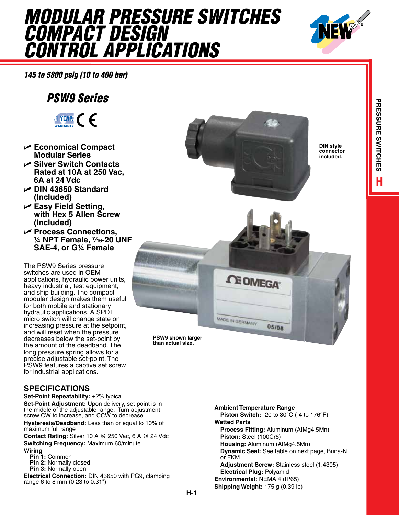## *Modular Pressure Switches Compact Design Control Applications*



*145 to 5800 psig (10 to 400 bar)*

## *PSW9 Series*



- U **Economical Compact Modular Series**
- U **Silver Switch Contacts Rated at 10A at 250 Vac, 6A at 24 Vdc**
- U **DIN 43650 Standard (Included)**
- U **Easy Field Setting, with Hex 5 Allen Screw (Included)**
- U **Process Connections, ¼ NPT Female, 7⁄16-20 UNF SAE-4, or G¼ Female**

The PSW9 Series pressure switches are used in OEM applications, hydraulic power units, heavy industrial, test equipment, and ship building. The compact modular design makes them useful for both mobile and stationary hydraulic applications. A SPDT micro switch will change state on increasing pressure at the setpoint, and will reset when the pressure decreases below the set-point by the amount of the deadband. The long pressure spring allows for a precise adjustable set-point. The PSW9 features a captive set screw for industrial applications.

## **SPECIFICATIONS**

**Set-Point Repeatability:** ±2% typical **Set-Point Adjustment:** Upon delivery, set-point is in the middle of the adjustable range; Turn adjustment screw CW to increase, and CCW to decrease

**Hysteresis/Deadband:** Less than or equal to 10% of maximum full range

**Contact Rating:** Silver 10 A @ 250 Vac, 6 A @ 24 Vdc **Switching Frequency:** Maximum 60/minute

**Wiring**

- **Pin 1:** Common **Pin 2:** Normally closed
- **Pin 3:** Normally open

**Electrical Connection:** DIN 43650 with PG9, clamping range 6 to 8 mm (0.23 to 0.31")



**than actual size.**

**H-1**

**Ambient Temperature Range Piston Switch:** -20 to 80°C (-4 to 176°F) **Wetted Parts Process Fitting:** Aluminum (AIMg4.5Mn) **Piston:** Steel (100Cr6) **Housing:** Aluminum (AIMg4.5Mn) **Dynamic Seal:** See table on next page, Buna-N or FKM **Adjustment Screw:** Stainless steel (1.4305) **Electrical Plug:** Polyamid **Environmental:** NEMA 4 (IP65) **Shipping Weight:** 175 g (0.39 lb)